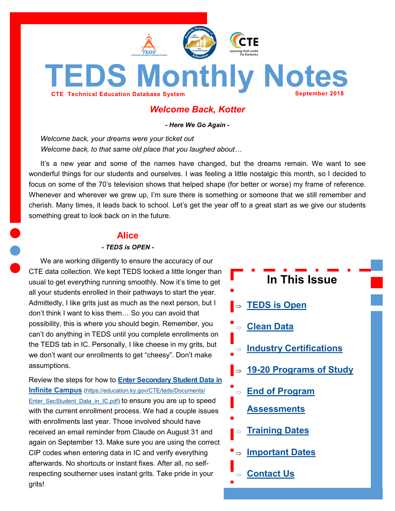<span id="page-0-0"></span>

# *Welcome Back, Kotter*

*- Here We Go Again -*

*Welcome back, your dreams were your ticket out Welcome back, to that same old place that you laughed about…*

It's a new year and some of the names have changed, but the dreams remain. We want to see wonderful things for our students and ourselves. I was feeling a little nostalgic this month, so I decided to focus on some of the 70's television shows that helped shape (for better or worse) my frame of reference. Whenever and wherever we grew up, I'm sure there is something or someone that we still remember and cherish. Many times, it leads back to school. Let's get the year off to a great start as we give our students something great to look back on in the future.

### **Alice**

#### *- TEDS is OPEN -*

We are working diligently to ensure the accuracy of our CTE data collection. We kept TEDS locked a little longer than usual to get everything running smoothly. Now it's time to get all your students enrolled in their pathways to start the year. Admittedly, I like grits just as much as the next person, but I don't think I want to kiss them… So you can avoid that possibility, this is where you should begin. Remember, you can't do anything in TEDS until you complete enrollments on the TEDS tab in IC. Personally, I like cheese in my grits, but we don't want our enrollments to get "cheesy". Don't make assumptions.

Review the steps for how to **[Enter Secondary Student Data in](https://education.ky.gov/CTE/teds/Documents/Enter_SecStudent_Data_in_IC.pdf)  [Infinite Campus](https://education.ky.gov/CTE/teds/Documents/Enter_SecStudent_Data_in_IC.pdf)** [\(https://education.ky.gov/CTE/teds/Documents/](https://education.ky.gov/CTE/teds/Documents/Enter_SecStudent_Data_in_IC.pdf) [Enter\\_SecStudent\\_Data\\_in\\_IC.pdf\)](https://education.ky.gov/CTE/teds/Documents/Enter_SecStudent_Data_in_IC.pdf) to ensure you are up to speed with the current enrollment process. We had a couple issues with enrollments last year. Those involved should have received an email reminder from Claude on August 31 and again on September 13. Make sure you are using the correct CIP codes when entering data in IC and verify everything afterwards. No shortcuts or instant fixes. After all, no selfrespecting southerner uses instant grits. Take pride in your grits!

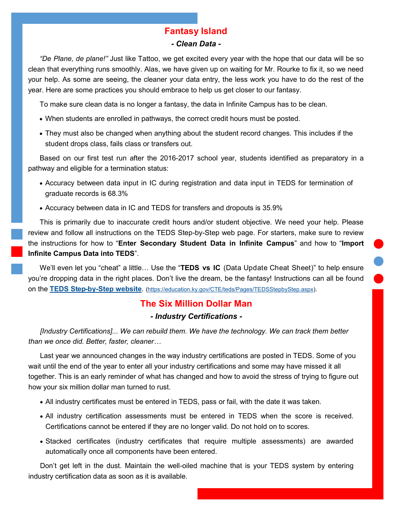# **Fantasy Island**

#### *- Clean Data -*

<span id="page-1-0"></span>*"De Plane, de plane!"* Just like Tattoo, we get excited every year with the hope that our data will be so clean that everything runs smoothly. Alas, we have given up on waiting for Mr. Rourke to fix it, so we need your help. As some are seeing, the cleaner your data entry, the less work you have to do the rest of the year. Here are some practices you should embrace to help us get closer to our fantasy.

To make sure clean data is no longer a fantasy, the data in Infinite Campus has to be clean.

- When students are enrolled in pathways, the correct credit hours must be posted.
- They must also be changed when anything about the student record changes. This includes if the student drops class, fails class or transfers out.

Based on our first test run after the 2016-2017 school year, students identified as preparatory in a pathway and eligible for a termination status:

- Accuracy between data input in IC during registration and data input in TEDS for termination of graduate records is 68.3%
- Accuracy between data in IC and TEDS for transfers and dropouts is 35.9%

This is primarily due to inaccurate credit hours and/or student objective. We need your help. Please review and follow all instructions on the TEDS Step-by-Step web page. For starters, make sure to review the instructions for how to "**Enter Secondary Student Data in Infinite Campus**" and how to "**Import Infinite Campus Data into TEDS**".

We'll even let you "cheat" a little… Use the "**TEDS vs IC** (Data Update Cheat Sheet)" to help ensure you're dropping data in the right places. Don't live the dream, be the fantasy! Instructions can all be found on the **TEDS Step-by-[Step website](https://education.ky.gov/CTE/teds/Pages/TEDSStepbyStep.aspx)**. [\(https://education.ky.gov/CTE/teds/Pages/TEDSStepbyStep.aspx\)](https://education.ky.gov/CTE/teds/Pages/TEDSStepbyStep.aspx).

## **The Six Million Dollar Man**

#### *- Industry Certifications -*

*[Industry Certifications]... We can rebuild them. We have the technology. We can track them better than we once did. Better, faster, cleaner…*

Last year we announced changes in the way industry certifications are posted in TEDS. Some of you wait until the end of the year to enter all your industry certifications and some may have missed it all together. This is an early reminder of what has changed and how to avoid the stress of trying to figure out how your six million dollar man turned to rust.

- All industry certificates must be entered in TEDS, pass or fail, with the date it was taken.
- All industry certification assessments must be entered in TEDS when the score is received. Certifications cannot be entered if they are no longer valid. Do not hold on to scores.
- Stacked certificates (industry certificates that require multiple assessments) are awarded automatically once all components have been entered.

Don't get left in the dust. Maintain the well-oiled machine that is your TEDS system by entering industry certification data as soon as it is available.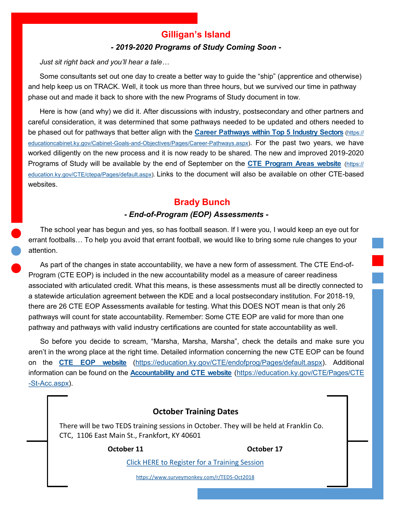# **Gilligan's Island**

#### *- 2019-2020 Programs of Study Coming Soon -*

<span id="page-2-0"></span>*Just sit right back and you'll hear a tale…*

Some consultants set out one day to create a better way to guide the "ship" (apprentice and otherwise) and help keep us on TRACK. Well, it took us more than three hours, but we survived our time in pathway phase out and made it back to shore with the new Programs of Study document in tow.

Here is how (and why) we did it. After discussions with industry, postsecondary and other partners and careful consideration, it was determined that some pathways needed to be updated and others needed to be phased out for pathways that better align with the **[Career Pathways within Top 5 Industry Sectors](https://educationcabinet.ky.gov/Cabinet-Goals-and-Objectives/Pages/Career-Pathways.aspx)** [\(https://](https://educationcabinet.ky.gov/Cabinet-Goals-and-Objectives/Pages/Career-Pathways.aspx) [educationcabinet.ky.gov/Cabinet](https://educationcabinet.ky.gov/Cabinet-Goals-and-Objectives/Pages/Career-Pathways.aspx)-Goals-and-Objectives/Pages/Career-Pathways.aspx). For the past two years, we have worked diligently on the new process and it is now ready to be shared. The new and improved 2019-2020 Programs of Study will be available by the end of September on the **[CTE Program Areas website](https://education.ky.gov/CTE/ctepa/Pages/default.aspx)** [\(https://](https://education.ky.gov/CTE/ctepa/Pages/default.aspx) [education.ky.gov/CTE/ctepa/Pages/default.aspx\)](https://education.ky.gov/CTE/ctepa/Pages/default.aspx). Links to the document will also be available on other CTE-based websites.

# **Brady Bunch**

### *- End-of-Program (EOP) Assessments -*

The school year has begun and yes, so has football season. If I were you, I would keep an eye out for errant footballs… To help you avoid that errant football, we would like to bring some rule changes to your attention.

As part of the changes in state accountability, we have a new form of assessment. The CTE End-of-Program (CTE EOP) is included in the new accountability model as a measure of career readiness associated with articulated credit. What this means, is these assessments must all be directly connected to a statewide articulation agreement between the KDE and a local postsecondary institution. For 2018-19, there are 26 CTE EOP Assessments available for testing. What this DOES NOT mean is that only 26 pathways will count for state accountability. Remember: Some CTE EOP are valid for more than one pathway and pathways with valid industry certifications are counted for state accountability as well.

So before you decide to scream, "Marsha, Marsha, Marsha", check the details and make sure you aren't in the wrong place at the right time. Detailed information concerning the new CTE EOP can be found on the **[CTE EOP website](https://education.ky.gov/CTE/endofprog/Pages/default.aspx)** [\(https://education.ky.gov/CTE/endofprog/Pages/default.aspx\).](https://education.ky.gov/CTE/endofprog/Pages/default.aspx) Additional information can be found on the **[Accountability and CTE website](https://education.ky.gov/CTE/Pages/CTE-St-Acc.aspx)** ([https://education.ky.gov/CTE/Pages/CTE](https://education.ky.gov/CTE/Pages/CTE-St-Acc.aspx) -St-[Acc.aspx\)](https://education.ky.gov/CTE/Pages/CTE-St-Acc.aspx).

## **October Training Dates**

There will be two TEDS training sessions in October. They will be held at Franklin Co. CTC, 1106 East Main St., Frankfort, KY 40601

**October 11 October 17**

[Click HERE to Register for a Training Session](https://www.surveymonkey.com/r/TEDS-Oct2018)

[https://www.surveymonkey.com/r/TEDS](https://www.surveymonkey.com/r/TEDS-Oct2018)-Oct2018